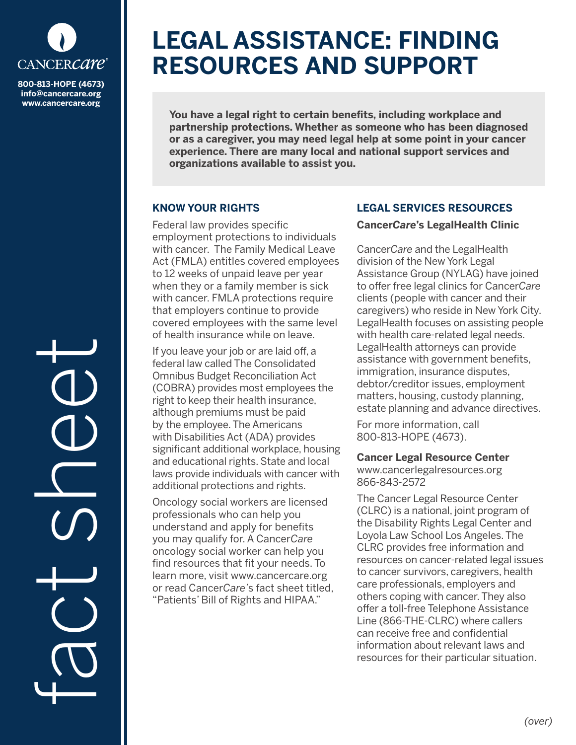

**info@cancercare.org www.cancercare.org**

# **LEGAL ASSISTANCE: FINDING RESOURCES AND SUPPORT**

**You have a legal right to certain benefits, including workplace and partnership protections. Whether as someone who has been diagnosed or as a caregiver, you may need legal help at some point in your cancer experience. There are many local and national support services and organizations available to assist you.**

## **KNOW YOUR RIGHTS**

Federal law provides specific employment protections to individuals with cancer. The Family Medical Leave Act (FMLA) entitles covered employees to 12 weeks of unpaid leave per year when they or a family member is sick with cancer. FMLA protections require that employers continue to provide covered employees with the same level of health insurance while on leave.

If you leave your job or are laid off, a federal law called The Consolidated Omnibus Budget Reconciliation Act (COBRA) provides most employees the right to keep their health insurance, although premiums must be paid by the employee. The Americans with Disabilities Act (ADA) provides significant additional workplace, housing and educational rights. State and local laws provide individuals with cancer with additional protections and rights.

Oncology social workers are licensed professionals who can help you understand and apply for benefits you may qualify for. A Cancer*Care* oncology social worker can help you find resources that fit your needs. To learn more, visit www.cancercare.org or read Cancer*Care'*s fact sheet titled, "Patients' Bill of Rights and HIPAA."

## **LEGAL SERVICES RESOURCES**

#### **Cancer***Care***'s LegalHealth Clinic**

Cancer*Care* and the LegalHealth division of the New York Legal Assistance Group (NYLAG) have joined to offer free legal clinics for Cancer*Care* clients (people with cancer and their caregivers) who reside in New York City. LegalHealth focuses on assisting people with health care-related legal needs. LegalHealth attorneys can provide assistance with government benefits, immigration, insurance disputes, debtor/creditor issues, employment matters, housing, custody planning, estate planning and advance directives.

For more information, call 800-813-HOPE (4673).

#### **Cancer Legal Resource Center**

www.cancerlegalresources.org 866-843-2572

The Cancer Legal Resource Center (CLRC) is a national, joint program of the Disability Rights Legal Center and Loyola Law School Los Angeles. The CLRC provides free information and resources on cancer-related legal issues to cancer survivors, caregivers, health care professionals, employers and others coping with cancer. They also offer a toll-free Telephone Assistance Line (866-THE-CLRC) where callers can receive free and confidential information about relevant laws and resources for their particular situation.

fact see